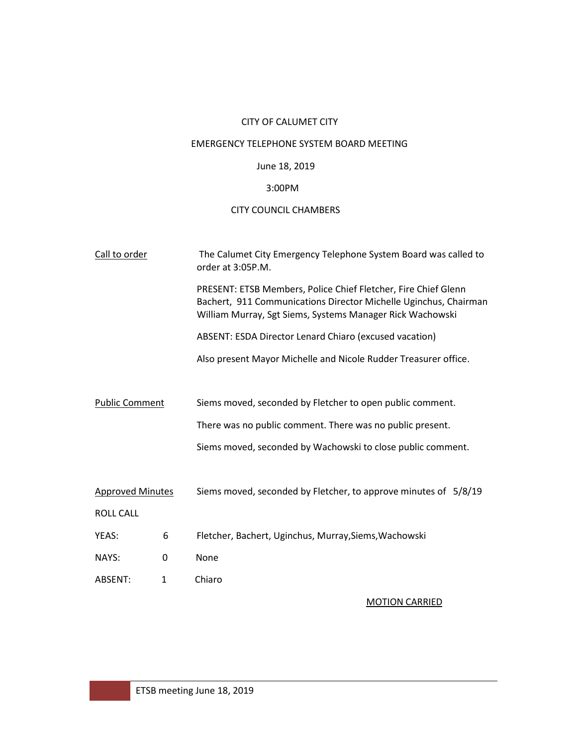# CITY OF CALUMET CITY

## EMERGENCY TELEPHONE SYSTEM BOARD MEETING

### June 18, 2019

## 3:00PM

## CITY COUNCIL CHAMBERS

| Call to order           |              | The Calumet City Emergency Telephone System Board was called to<br>order at 3:05P.M.                                                                                                            |
|-------------------------|--------------|-------------------------------------------------------------------------------------------------------------------------------------------------------------------------------------------------|
|                         |              | PRESENT: ETSB Members, Police Chief Fletcher, Fire Chief Glenn<br>Bachert, 911 Communications Director Michelle Uginchus, Chairman<br>William Murray, Sgt Siems, Systems Manager Rick Wachowski |
|                         |              | ABSENT: ESDA Director Lenard Chiaro (excused vacation)                                                                                                                                          |
|                         |              | Also present Mayor Michelle and Nicole Rudder Treasurer office.                                                                                                                                 |
|                         |              |                                                                                                                                                                                                 |
| <b>Public Comment</b>   |              | Siems moved, seconded by Fletcher to open public comment.                                                                                                                                       |
|                         |              | There was no public comment. There was no public present.                                                                                                                                       |
|                         |              | Siems moved, seconded by Wachowski to close public comment.                                                                                                                                     |
|                         |              |                                                                                                                                                                                                 |
| <b>Approved Minutes</b> |              | Siems moved, seconded by Fletcher, to approve minutes of 5/8/19                                                                                                                                 |
| <b>ROLL CALL</b>        |              |                                                                                                                                                                                                 |
| YEAS:                   | 6            | Fletcher, Bachert, Uginchus, Murray, Siems, Wachowski                                                                                                                                           |
| NAYS:                   | 0            | None                                                                                                                                                                                            |
| ABSENT:                 | $\mathbf{1}$ | Chiaro                                                                                                                                                                                          |
|                         |              |                                                                                                                                                                                                 |

MOTION CARRIED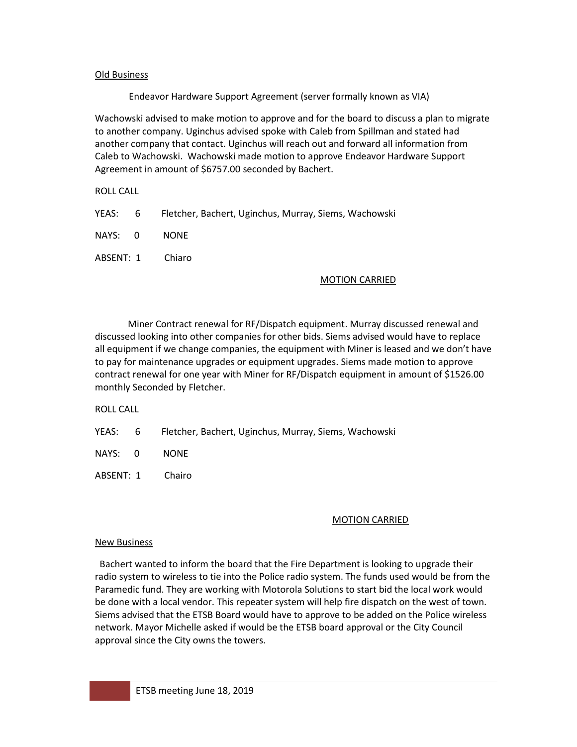#### Old Business

Endeavor Hardware Support Agreement (server formally known as VIA)

Wachowski advised to make motion to approve and for the board to discuss a plan to migrate to another company. Uginchus advised spoke with Caleb from Spillman and stated had another company that contact. Uginchus will reach out and forward all information from Caleb to Wachowski. Wachowski made motion to approve Endeavor Hardware Support Agreement in amount of \$6757.00 seconded by Bachert.

ROLL CALL

- YEAS: 6 Fletcher, Bachert, Uginchus, Murray, Siems, Wachowski
- NAYS: 0 NONE
- ABSENT: 1 Chiaro

#### MOTION CARRIED

 Miner Contract renewal for RF/Dispatch equipment. Murray discussed renewal and discussed looking into other companies for other bids. Siems advised would have to replace all equipment if we change companies, the equipment with Miner is leased and we don't have to pay for maintenance upgrades or equipment upgrades. Siems made motion to approve contract renewal for one year with Miner for RF/Dispatch equipment in amount of \$1526.00 monthly Seconded by Fletcher.

ROLL CALL

YEAS: 6 Fletcher, Bachert, Uginchus, Murray, Siems, Wachowski

NAYS: 0 NONE

ABSENT: 1 Chairo

#### MOTION CARRIED

#### New Business

 Bachert wanted to inform the board that the Fire Department is looking to upgrade their radio system to wireless to tie into the Police radio system. The funds used would be from the Paramedic fund. They are working with Motorola Solutions to start bid the local work would be done with a local vendor. This repeater system will help fire dispatch on the west of town. Siems advised that the ETSB Board would have to approve to be added on the Police wireless network. Mayor Michelle asked if would be the ETSB board approval or the City Council approval since the City owns the towers.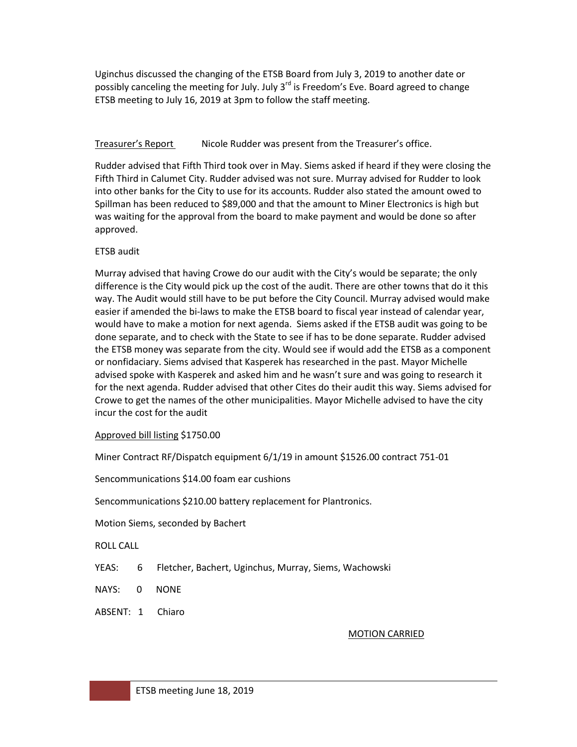Uginchus discussed the changing of the ETSB Board from July 3, 2019 to another date or possibly canceling the meeting for July. July  $3<sup>rd</sup>$  is Freedom's Eve. Board agreed to change ETSB meeting to July 16, 2019 at 3pm to follow the staff meeting.

### Treasurer's Report Nicole Rudder was present from the Treasurer's office.

Rudder advised that Fifth Third took over in May. Siems asked if heard if they were closing the Fifth Third in Calumet City. Rudder advised was not sure. Murray advised for Rudder to look into other banks for the City to use for its accounts. Rudder also stated the amount owed to Spillman has been reduced to \$89,000 and that the amount to Miner Electronics is high but was waiting for the approval from the board to make payment and would be done so after approved.

### ETSB audit

Murray advised that having Crowe do our audit with the City's would be separate; the only difference is the City would pick up the cost of the audit. There are other towns that do it this way. The Audit would still have to be put before the City Council. Murray advised would make easier if amended the bi-laws to make the ETSB board to fiscal year instead of calendar year, would have to make a motion for next agenda. Siems asked if the ETSB audit was going to be done separate, and to check with the State to see if has to be done separate. Rudder advised the ETSB money was separate from the city. Would see if would add the ETSB as a component or nonfidaciary. Siems advised that Kasperek has researched in the past. Mayor Michelle advised spoke with Kasperek and asked him and he wasn't sure and was going to research it for the next agenda. Rudder advised that other Cites do their audit this way. Siems advised for Crowe to get the names of the other municipalities. Mayor Michelle advised to have the city incur the cost for the audit

#### Approved bill listing \$1750.00

Miner Contract RF/Dispatch equipment 6/1/19 in amount \$1526.00 contract 751-01

Sencommunications \$14.00 foam ear cushions

Sencommunications \$210.00 battery replacement for Plantronics.

Motion Siems, seconded by Bachert

ROLL CALL

- YEAS: 6 Fletcher, Bachert, Uginchus, Murray, Siems, Wachowski
- NAYS: 0 NONE
- ABSENT: 1 Chiaro

#### MOTION CARRIED